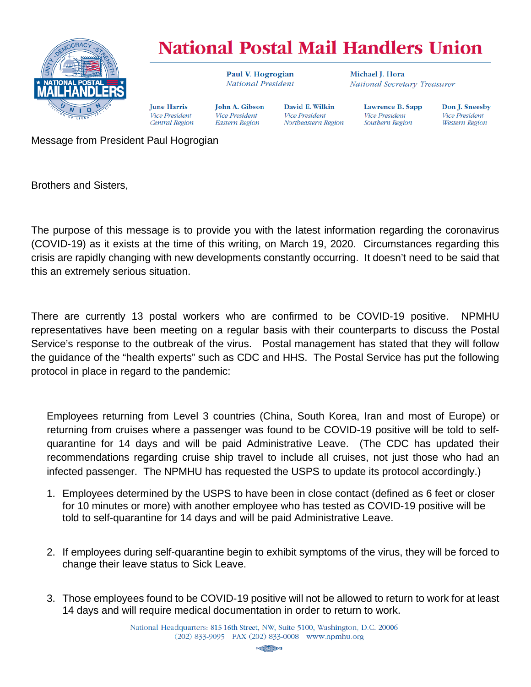

## **National Postal Mail Handlers Union**

David E. Wilkin

Northeastern Region

**Vice President** 

Paul V. Hogrogian National President

**John A. Gibson** 

Vice President

Eastern Region

Michael I. Hora National Secretary-Treasurer

Lawrence B. Sapp **Vice President** Southern Region

Don J. Sneesby Vice President Western Region

Message from President Paul Hogrogian

**Iune Harris** 

**Vice President** 

Central Region

Brothers and Sisters,

The purpose of this message is to provide you with the latest information regarding the coronavirus (COVID-19) as it exists at the time of this writing, on March 19, 2020. Circumstances regarding this crisis are rapidly changing with new developments constantly occurring. It doesn't need to be said that this an extremely serious situation.

There are currently 13 postal workers who are confirmed to be COVID-19 positive. NPMHU representatives have been meeting on a regular basis with their counterparts to discuss the Postal Service's response to the outbreak of the virus. Postal management has stated that they will follow the guidance of the "health experts" such as CDC and HHS. The Postal Service has put the following protocol in place in regard to the pandemic:

Employees returning from Level 3 countries (China, South Korea, Iran and most of Europe) or returning from cruises where a passenger was found to be COVID-19 positive will be told to selfquarantine for 14 days and will be paid Administrative Leave. (The CDC has updated their recommendations regarding cruise ship travel to include all cruises, not just those who had an infected passenger. The NPMHU has requested the USPS to update its protocol accordingly.)

- 1. Employees determined by the USPS to have been in close contact (defined as 6 feet or closer for 10 minutes or more) with another employee who has tested as COVID-19 positive will be told to self-quarantine for 14 days and will be paid Administrative Leave.
- 2. If employees during self-quarantine begin to exhibit symptoms of the virus, they will be forced to change their leave status to Sick Leave.
- 3. Those employees found to be COVID-19 positive will not be allowed to return to work for at least 14 days and will require medical documentation in order to return to work.

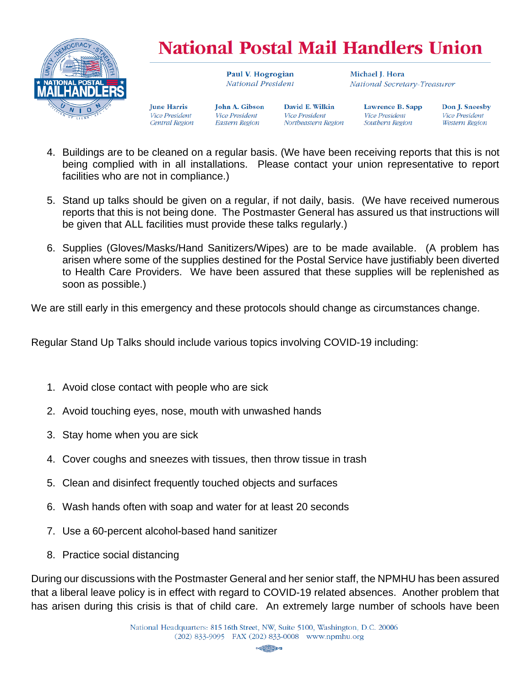

## **National Postal Mail Handlers Union**

Paul V. Hogrogian National President

Michael I. Hora National Secretary-Treasurer

**Iune Harris** Vice President Central Region

**John A. Gibson** Vice President **Eastern Region** 

David E. Wilkin **Vice President** Northeastern Region

Lawrence B. Sapp **Vice President** Southern Region

Don J. Sneesby **Vice President** Western Region

- 4. Buildings are to be cleaned on a regular basis. (We have been receiving reports that this is not being complied with in all installations. Please contact your union representative to report facilities who are not in compliance.)
- 5. Stand up talks should be given on a regular, if not daily, basis. (We have received numerous reports that this is not being done. The Postmaster General has assured us that instructions will be given that ALL facilities must provide these talks regularly.)
- 6. Supplies (Gloves/Masks/Hand Sanitizers/Wipes) are to be made available. (A problem has arisen where some of the supplies destined for the Postal Service have justifiably been diverted to Health Care Providers. We have been assured that these supplies will be replenished as soon as possible.)

We are still early in this emergency and these protocols should change as circumstances change.

Regular Stand Up Talks should include various topics involving COVID-19 including:

- 1. Avoid close contact with people who are sick
- 2. Avoid touching eyes, nose, mouth with unwashed hands
- 3. Stay home when you are sick
- 4. Cover coughs and sneezes with tissues, then throw tissue in trash
- 5. Clean and disinfect frequently touched objects and surfaces
- 6. Wash hands often with soap and water for at least 20 seconds
- 7. Use a 60-percent alcohol-based hand sanitizer
- 8. Practice social distancing

During our discussions with the Postmaster General and her senior staff, the NPMHU has been assured that a liberal leave policy is in effect with regard to COVID-19 related absences. Another problem that has arisen during this crisis is that of child care. An extremely large number of schools have been